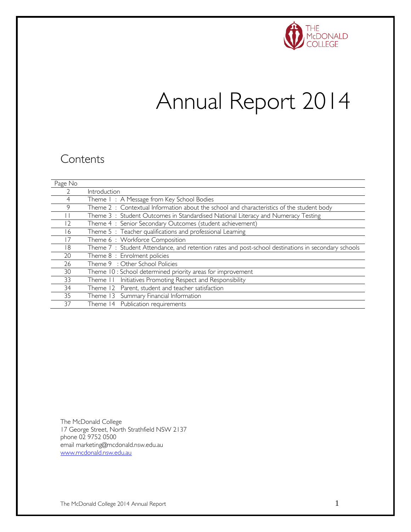

# Annual Report 2014

### **Contents**

| Page No |                                                                                                    |
|---------|----------------------------------------------------------------------------------------------------|
|         | Introduction                                                                                       |
| 4       | Theme I: A Message from Key School Bodies                                                          |
| 9       | Theme 2: Contextual Information about the school and characteristics of the student body           |
|         | Theme 3: Student Outcomes in Standardised National Literacy and Numeracy Testing                   |
| 12      | Theme 4 : Senior Secondary Outcomes (student achievement)                                          |
| 16      | Theme 5 : Teacher qualifications and professional Learning                                         |
| 17      | Theme 6: Workforce Composition                                                                     |
| 18      | Theme 7: Student Attendance, and retention rates and post-school destinations in secondary schools |
| 20      | Theme 8 : Enrolment policies                                                                       |
| 26      | Theme 9 : Other School Policies                                                                    |
| 30      | Theme 10 : School determined priority areas for improvement                                        |
| 33      | Initiatives Promoting Respect and Responsibility<br>Theme 11                                       |
| 34      | Theme 12 Parent, student and teacher satisfaction                                                  |
| 35      | Theme 13 Summary Financial Information                                                             |
| 37      | Theme 14 Publication requirements                                                                  |

The McDonald College 17 George Street, North Strathfield NSW 2137 phone 02 9752 0500 email marketing@mcdonald.nsw.edu.au [www.mcdonald.nsw.edu.au](http://www.mcdonald.nsw.edu.au/)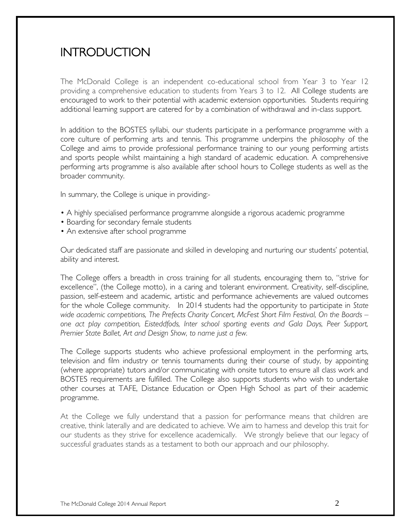### INTRODUCTION

The McDonald College is an independent co-educational school from Year 3 to Year 12 providing a comprehensive education to students from Years 3 to 12. All College students are encouraged to work to their potential with academic extension opportunities. Students requiring additional learning support are catered for by a combination of withdrawal and in-class support.

In addition to the BOSTES syllabi, our students participate in a performance programme with a core culture of performing arts and tennis. This programme underpins the philosophy of the College and aims to provide professional performance training to our young performing artists and sports people whilst maintaining a high standard of academic education. A comprehensive performing arts programme is also available after school hours to College students as well as the broader community.

In summary, the College is unique in providing:-

- A highly specialised performance programme alongside a rigorous academic programme
- Boarding for secondary female students
- An extensive after school programme

Our dedicated staff are passionate and skilled in developing and nurturing our students' potential, ability and interest.

The College offers a breadth in cross training for all students, encouraging them to, "strive for excellence", (the College motto), in a caring and tolerant environment. Creativity, self-discipline, passion, self-esteem and academic, artistic and performance achievements are valued outcomes for the whole College community. In 2014 students had the opportunity to participate in *State*  wide academic competitions, The Prefects Charity Concert, McFest Short Film Festival, On the Boards – *one act play competition, Eisteddfods, Inter school sporting events and Gala Days, Peer Support, Premier State Ballet, Art and Design Show, to name just a few.*

The College supports students who achieve professional employment in the performing arts, television and film industry or tennis tournaments during their course of study, by appointing (where appropriate) tutors and/or communicating with onsite tutors to ensure all class work and BOSTES requirements are fulfilled. The College also supports students who wish to undertake other courses at TAFE, Distance Education or Open High School as part of their academic programme.

At the College we fully understand that a passion for performance means that children are creative, think laterally and are dedicated to achieve. We aim to harness and develop this trait for our students as they strive for excellence academically. We strongly believe that our legacy of successful graduates stands as a testament to both our approach and our philosophy.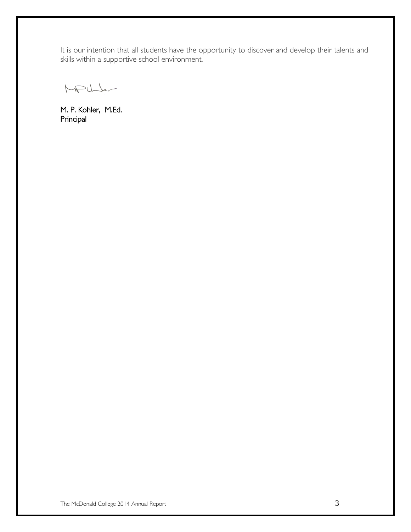It is our intention that all students have the opportunity to discover and develop their talents and skills within a supportive school environment.

MPULL

M. P. Kohler, M.Ed. Principal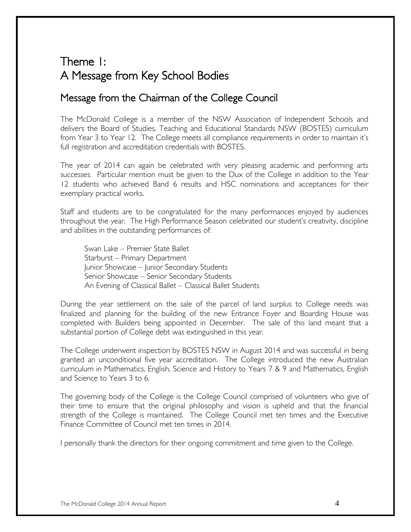# Theme 1: A Message from Key School Bodies

### Message from the Chairman of the College Council

The McDonald College is a member of the NSW Association of Independent Schools and delivers the Board of Studies, Teaching and Educational Standards NSW (BOSTES) curriculum from Year 3 to Year 12. The College meets all compliance requirements in order to maintain it's full registration and accreditation credentials with BOSTES.

The year of 2014 can again be celebrated with very pleasing academic and performing arts successes. Particular mention must be given to the Dux of the College in addition to the Year 12 students who achieved Band 6 results and HSC nominations and acceptances for their exemplary practical works.

Staff and students are to be congratulated for the many performances enjoyed by audiences throughout the year. The High Performance Season celebrated our student's creativity, discipline and abilities in the outstanding performances of:

Swan Lake – Premier State Ballet Starburst – Primary Department Junior Showcase – Junior Secondary Students Senior Showcase – Senior Secondary Students An Evening of Classical Ballet – Classical Ballet Students

During the year settlement on the sale of the parcel of land surplus to College needs was finalized and planning for the building of the new Entrance Foyer and Boarding House was completed with Builders being appointed in December. The sale of this land meant that a substantial portion of College debt was extinguished in this year.

The College underwent inspection by BOSTES NSW in August 2014 and was successful in being granted an unconditional five year accreditation. The College introduced the new Australian curriculum in Mathematics, English, Science and History to Years 7 & 9 and Mathematics, English and Science to Years 3 to 6.

The governing body of the College is the College Council comprised of volunteers who give of their time to ensure that the original philosophy and vision is upheld and that the financial strength of the College is maintained. The College Council met ten times and the Executive Finance Committee of Council met ten times in 2014.

I personally thank the directors for their ongoing commitment and time given to the College.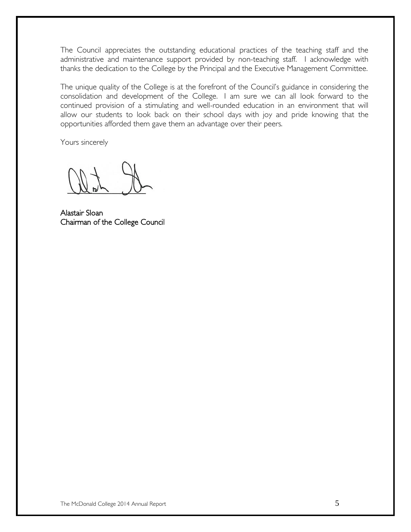The Council appreciates the outstanding educational practices of the teaching staff and the administrative and maintenance support provided by non-teaching staff. I acknowledge with thanks the dedication to the College by the Principal and the Executive Management Committee.

The unique quality of the College is at the forefront of the Council's guidance in considering the consolidation and development of the College. I am sure we can all look forward to the continued provision of a stimulating and well-rounded education in an environment that will allow our students to look back on their school days with joy and pride knowing that the opportunities afforded them gave them an advantage over their peers.

Yours sincerely

Alastair Sloan Chairman of the College Council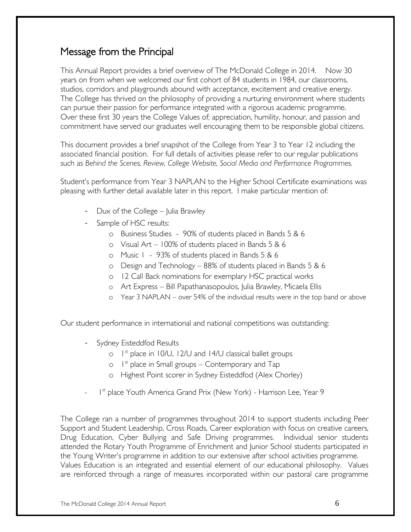### Message from the Principal

This Annual Report provides a brief overview of The McDonald College in 2014. Now 30 years on from when we welcomed our first cohort of 84 students in 1984, our classrooms, studios, corridors and playgrounds abound with acceptance, excitement and creative energy. The College has thrived on the philosophy of providing a nurturing environment where students can pursue their passion for performance integrated with a rigorous academic programme. Over these first 30 years the College Values of; appreciation, humility, honour, and passion and commitment have served our graduates well encouraging them to be responsible global citizens.

This document provides a brief snapshot of the College from Year 3 to Year 12 including the associated financial position. For full details of activities please refer to our regular publications such as *Behind the Scenes, Review, College Website, Social Media and Performance Programmes.* 

Student's performance from Year 3 NAPLAN to the Higher School Certificate examinations was pleasing with further detail available later in this report. I make particular mention of:

- Dux of the College  $-$  Julia Brawley
- Sample of HSC results:
	- o Business Studies 90% of students placed in Bands 5 & 6
	- o Visual Art 100% of students placed in Bands 5 & 6
	- o Music 1 93% of students placed in Bands 5 & 6
	- o Design and Technology 88% of students placed in Bands 5 & 6
	- o 12 Call Back nominations for exemplary HSC practical works
	- o Art Express Bill Papathanasopoulos, Julia Brawley, Micaela Ellis
	- o Year 3 NAPLAN over 54% of the individual results were in the top band or above

Our student performance in international and national competitions was outstanding:

- Sydney Eisteddfod Results
	- o I<sup>st</sup> place in 10/U, 12/U and 14/U classical ballet groups
	- $\circ$  1<sup>st</sup> place in Small groups Contemporary and Tap
	- o Highest Point scorer in Sydney Eisteddfod (Alex Chorley)
- <sup>-</sup> 1<sup>st</sup> place Youth America Grand Prix (New York) Harrison Lee, Year 9

The College ran a number of programmes throughout 2014 to support students including Peer Support and Student Leadership, Cross Roads, Career exploration with focus on creative careers, Drug Education, Cyber Bullying and Safe Driving programmes. Individual senior students attended the Rotary Youth Programme of Enrichment and Junior School students participated in the Young Writer's programme in addition to our extensive after school activities programme. Values Education is an integrated and essential element of our educational philosophy. Values are reinforced through a range of measures incorporated within our pastoral care programme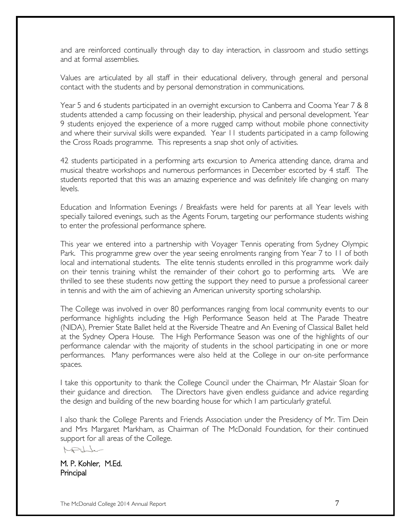and are reinforced continually through day to day interaction, in classroom and studio settings and at formal assemblies.

Values are articulated by all staff in their educational delivery, through general and personal contact with the students and by personal demonstration in communications.

Year 5 and 6 students participated in an overnight excursion to Canberra and Cooma Year 7 & 8 students attended a camp focussing on their leadership, physical and personal development. Year 9 students enjoyed the experience of a more rugged camp without mobile phone connectivity and where their survival skills were expanded. Year 11 students participated in a camp following the Cross Roads programme. This represents a snap shot only of activities.

42 students participated in a performing arts excursion to America attending dance, drama and musical theatre workshops and numerous performances in December escorted by 4 staff. The students reported that this was an amazing experience and was definitely life changing on many levels.

Education and Information Evenings / Breakfasts were held for parents at all Year levels with specially tailored evenings, such as the Agents Forum, targeting our performance students wishing to enter the professional performance sphere.

This year we entered into a partnership with Voyager Tennis operating from Sydney Olympic Park. This programme grew over the year seeing enrolments ranging from Year 7 to 11 of both local and international students. The elite tennis students enrolled in this programme work daily on their tennis training whilst the remainder of their cohort go to performing arts. We are thrilled to see these students now getting the support they need to pursue a professional career in tennis and with the aim of achieving an American university sporting scholarship.

The College was involved in over 80 performances ranging from local community events to our performance highlights including the High Performance Season held at The Parade Theatre (NIDA), Premier State Ballet held at the Riverside Theatre and An Evening of Classical Ballet held at the Sydney Opera House. The High Performance Season was one of the highlights of our performance calendar with the majority of students in the school participating in one or more performances. Many performances were also held at the College in our on-site performance spaces.

I take this opportunity to thank the College Council under the Chairman, Mr Alastair Sloan for their guidance and direction. The Directors have given endless guidance and advice regarding the design and building of the new boarding house for which I am particularly grateful.

I also thank the College Parents and Friends Association under the Presidency of Mr. Tim Dein and Mrs Margaret Markham, as Chairman of The McDonald Foundation, for their continued support for all areas of the College.

MPULL

M. P. Kohler, M.Ed. **Principal**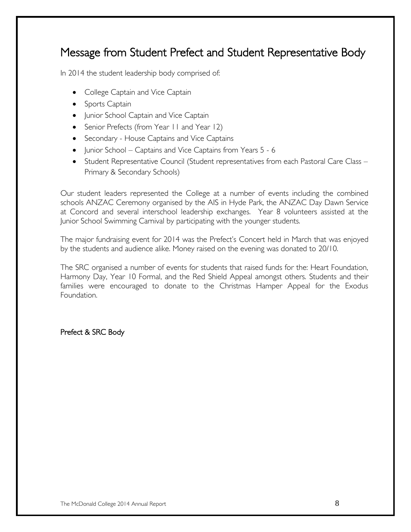# Message from Student Prefect and Student Representative Body

In 2014 the student leadership body comprised of:

- College Captain and Vice Captain
- Sports Captain
- Junior School Captain and Vice Captain
- Senior Prefects (from Year II and Year 12)
- Secondary House Captains and Vice Captains
- Junior School Captains and Vice Captains from Years 5 6
- Student Representative Council (Student representatives from each Pastoral Care Class Primary & Secondary Schools)

Our student leaders represented the College at a number of events including the combined schools ANZAC Ceremony organised by the AIS in Hyde Park, the ANZAC Day Dawn Service at Concord and several interschool leadership exchanges. Year 8 volunteers assisted at the Junior School Swimming Carnival by participating with the younger students.

The major fundraising event for 2014 was the Prefect's Concert held in March that was enjoyed by the students and audience alike. Money raised on the evening was donated to 20/10.

The SRC organised a number of events for students that raised funds for the: Heart Foundation, Harmony Day, Year 10 Formal, and the Red Shield Appeal amongst others. Students and their families were encouraged to donate to the Christmas Hamper Appeal for the Exodus Foundation.

Prefect & SRC Body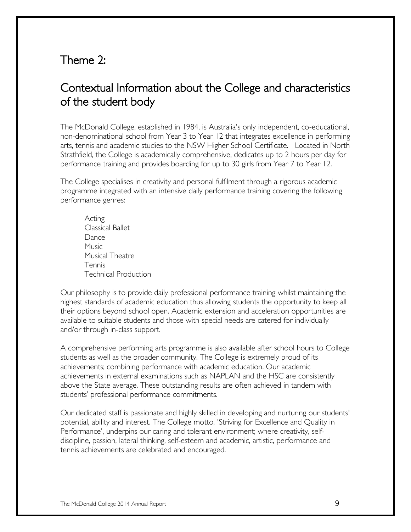### Theme 2:

# Contextual Information about the College and characteristics of the student body

The McDonald College, established in 1984, is Australia's only independent, co-educational, non-denominational school from Year 3 to Year 12 that integrates excellence in performing arts, tennis and academic studies to the NSW Higher School Certificate. Located in North Strathfield, the College is academically comprehensive, dedicates up to 2 hours per day for performance training and provides boarding for up to 30 girls from Year 7 to Year 12.

The College specialises in creativity and personal fulfilment through a rigorous academic programme integrated with an intensive daily performance training covering the following performance genres:

Acting Classical Ballet Dance Music Musical Theatre Tennis Technical Production

Our philosophy is to provide daily professional performance training whilst maintaining the highest standards of academic education thus allowing students the opportunity to keep all their options beyond school open. Academic extension and acceleration opportunities are available to suitable students and those with special needs are catered for individually and/or through in-class support.

A comprehensive performing arts programme is also available after school hours to College students as well as the broader community. The College is extremely proud of its achievements; combining performance with academic education. Our academic achievements in external examinations such as NAPLAN and the HSC are consistently above the State average. These outstanding results are often achieved in tandem with students' professional performance commitments.

Our dedicated staff is passionate and highly skilled in developing and nurturing our students' potential, ability and interest. The College motto, 'Striving for Excellence and Quality in Performance', underpins our caring and tolerant environment; where creativity, selfdiscipline, passion, lateral thinking, self-esteem and academic, artistic, performance and tennis achievements are celebrated and encouraged.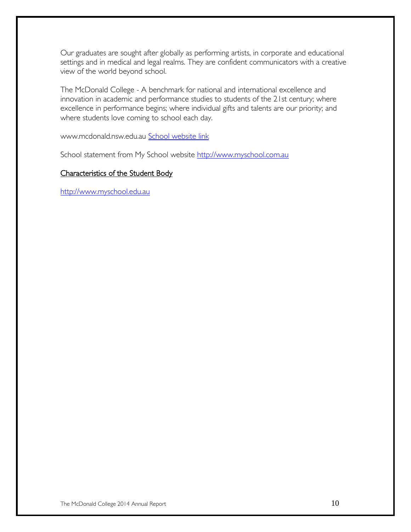Our graduates are sought after globally as performing artists, in corporate and educational settings and in medical and legal realms. They are confident communicators with a creative view of the world beyond school.

The McDonald College - A benchmark for national and international excellence and innovation in academic and performance studies to students of the 21st century; where excellence in performance begins; where individual gifts and talents are our priority; and where students love coming to school each day.

www.mcdonald.nsw.edu.au [School website link](http://www.mcdonald.nsw.edu.au/) 

School statement from My School website [http://www.myschool.com.au](http://www.myschool.com.au/)

#### Characteristics of the Student Body

[http://www.myschool.edu.au](http://www.myschool.edu.au/)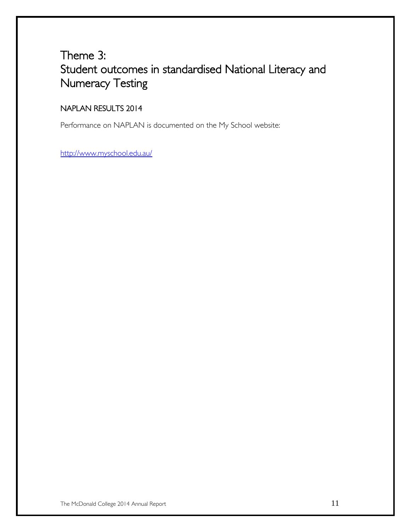# Theme 3: Student outcomes in standardised National Literacy and Numeracy Testing

### NAPLAN RESULTS 2014

Performance on NAPLAN is documented on the My School website:

<http://www.myschool.edu.au/>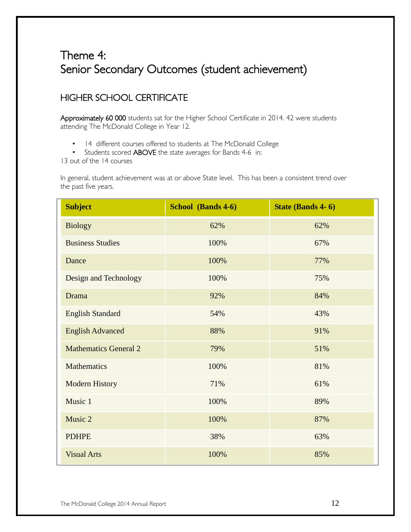# Theme 4: Senior Secondary Outcomes (student achievement)

### HIGHER SCHOOL CERTIFICATE

Approximately 60 000 students sat for the Higher School Certificate in 2014. 42 were students attending The McDonald College in Year 12.

- 14 different courses offered to students at The McDonald College
- Students scored ABOVE the state averages for Bands 4-6 in:

13 out of the 14 courses

In general, student achievement was at or above State level. This has been a consistent trend over the past five years.

| <b>Subject</b>               | School (Bands 4-6) | State (Bands 4-6) |
|------------------------------|--------------------|-------------------|
| <b>Biology</b>               | 62%                | 62%               |
| <b>Business Studies</b>      | 100%               | 67%               |
| Dance                        | 100%               | 77%               |
| Design and Technology        | 100%               | 75%               |
| Drama                        | 92%                | 84%               |
| <b>English Standard</b>      | 54%                | 43%               |
| <b>English Advanced</b>      | 88%                | 91%               |
| <b>Mathematics General 2</b> | 79%                | 51%               |
| Mathematics                  | 100%               | 81%               |
| <b>Modern History</b>        | 71%                | 61%               |
| Music 1                      | 100%               | 89%               |
| Music 2                      | 100%               | 87%               |
| <b>PDHPE</b>                 | 38%                | 63%               |
| <b>Visual Arts</b>           | 100%               | 85%               |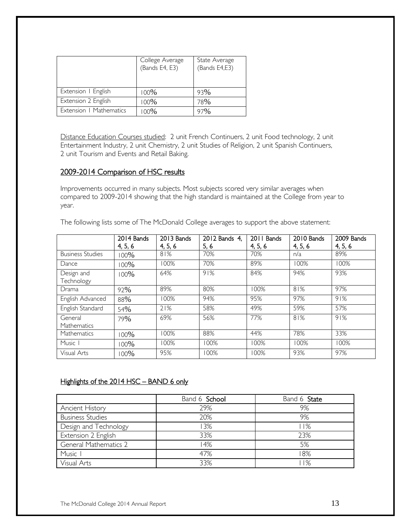|                         | College Average<br>(Bands E4, E3) | State Average<br>(Bands E4,E3) |
|-------------------------|-----------------------------------|--------------------------------|
| Extension   English     | 100%                              | 93%                            |
| Extension 2 English     | 100%                              | 78%                            |
| Extension   Mathematics | 00%                               | 97%                            |

Distance Education Courses studied: 2 unit French Continuers, 2 unit Food technology, 2 unit Entertainment Industry, 2 unit Chemistry, 2 unit Studies of Religion, 2 unit Spanish Continuers, 2 unit Tourism and Events and Retail Baking.

#### 2009-2014 Comparison of HSC results

Improvements occurred in many subjects. Most subjects scored very similar averages when compared to 2009-2014 showing that the high standard is maintained at the College from year to year.

The following lists some of The McDonald College averages to support the above statement:

|                          | 2014 Bands | 2013 Bands | 2012 Bands 4, | 2011 Bands | 2010 Bands | 2009 Bands |
|--------------------------|------------|------------|---------------|------------|------------|------------|
|                          | 4, 5, 6    | 4, 5, 6    | 5, 6          | 4, 5, 6    | 4, 5, 6    | 4, 5, 6    |
| <b>Business Studies</b>  | $100\%$    | 81%        | 70%           | 70%        | n/a        | 89%        |
| Dance                    | 00%        | 100%       | 70%           | 89%        | 100%       | 100%       |
| Design and<br>Technology | $100\%$    | 64%        | 91%           | 84%        | 94%        | 93%        |
| Drama                    | 92%        | 89%        | 80%           | 100%       | 81%        | 97%        |
| English Advanced         | 88%        | 100%       | 94%           | 95%        | 97%        | 91%        |
| English Standard         | 54%        | 21%        | 58%           | 49%        | 59%        | 57%        |
| General<br>Mathematics   | 79%        | 69%        | 56%           | 77%        | 81%        | 91%        |
| Mathematics              | 100%       | 100%       | 88%           | 44%        | 78%        | 33%        |
| Music I                  | 100%       | 100%       | 100%          | 100%       | 100%       | 100%       |
| Visual Arts              | 00%        | 95%        | 100%          | 100%       | 93%        | 97%        |

#### Highlights of the 2014 HSC - BAND 6 only

|                         | Band 6 School | Band 6 State |
|-------------------------|---------------|--------------|
| <b>Ancient History</b>  | 29%           | 9%           |
| <b>Business Studies</b> | 20%           | 9%           |
| Design and Technology   | 3%            | l I%         |
| Extension 2 English     | 33%           | 23%          |
| General Mathematics 2   | 14%           | 5%           |
| Music I                 | 47%           | 18%          |
| Visual Arts             | 33%           | l I%         |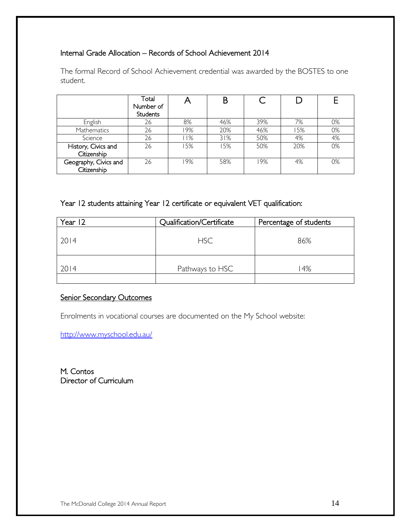#### Internal Grade Allocation – Records of School Achievement 2014

The formal Record of School Achievement credential was awarded by the BOSTES to one student.

|                       | Total<br>Number of<br><b>Students</b> |     |     |     |     |    |
|-----------------------|---------------------------------------|-----|-----|-----|-----|----|
| English               | 26                                    | 8%  | 46% | 39% | 7%  | 0% |
| <b>Mathematics</b>    | 26                                    | 19% | 20% | 46% | 15% | 0% |
| Science               | 26                                    | 11% | 31% | 50% | 4%  | 4% |
| History, Civics and   | 26                                    | 15% | 15% | 50% | 20% | 0% |
| Citizenship           |                                       |     |     |     |     |    |
| Geography, Civics and | 26                                    | 19% | 58% | 19% | 4%  | 0% |
| Citizenship           |                                       |     |     |     |     |    |

Year 12 students attaining Year 12 certificate or equivalent VET qualification:

| Year 12 | Qualification/Certificate | Percentage of students |
|---------|---------------------------|------------------------|
| 2014    | <b>HSC</b>                | 86%                    |
| 2014    | Pathways to HSC           | 4%                     |

#### Senior Secondary Outcomes

Enrolments in vocational courses are documented on the My School website:

<http://www.myschool.edu.au/>

M. Contos Director of Curriculum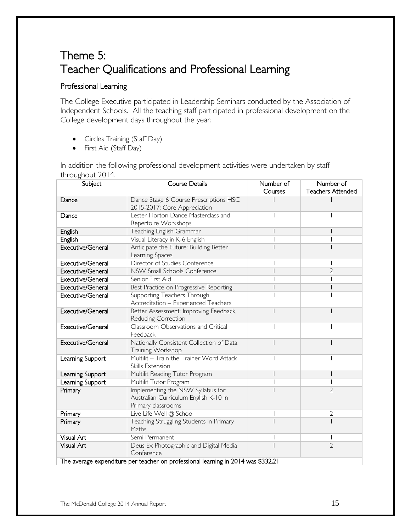# Theme 5: Teacher Qualifications and Professional Learning

#### Professional Learning

The College Executive participated in Leadership Seminars conducted by the Association of Independent Schools. All the teaching staff participated in professional development on the College development days throughout the year.

- Circles Training (Staff Day)
- First Aid (Staff Day)

In addition the following professional development activities were undertaken by staff throughout 2014.

| Subject           | <b>Course Details</b>                                                             | Number of | Number of                |
|-------------------|-----------------------------------------------------------------------------------|-----------|--------------------------|
|                   |                                                                                   | Courses   | <b>Teachers Attended</b> |
| Dance             | Dance Stage 6 Course Prescriptions HSC                                            |           |                          |
|                   | 2015-2017: Core Appreciation                                                      |           |                          |
| Dance             | Lester Horton Dance Masterclass and                                               |           |                          |
|                   | Repertoire Workshops                                                              |           |                          |
| English           | Teaching English Grammar                                                          |           |                          |
| English           | Visual Literacy in K-6 English                                                    |           |                          |
| Executive/General | Anticipate the Future: Building Better                                            |           |                          |
|                   | Learning Spaces                                                                   |           |                          |
| Executive/General | Director of Studies Conference                                                    |           |                          |
| Executive/General | NSW Small Schools Conference                                                      |           | 2                        |
| Executive/General | Senior First Aid                                                                  |           |                          |
| Executive/General | Best Practice on Progressive Reporting                                            |           |                          |
| Executive/General | Supporting Teachers Through                                                       |           |                          |
|                   | Accreditation - Experienced Teachers                                              |           |                          |
| Executive/General | Better Assessment: Improving Feedback,                                            |           |                          |
|                   | Reducing Correction                                                               |           |                          |
| Executive/General | Classroom Observations and Critical                                               |           |                          |
|                   | Feedback                                                                          |           |                          |
| Executive/General | Nationally Consistent Collection of Data                                          |           |                          |
|                   | Training Workshop                                                                 |           |                          |
| Learning Support  | Multilit - Train the Trainer Word Attack                                          |           |                          |
|                   | Skills Extension                                                                  |           |                          |
| Learning Support  | Multilit Reading Tutor Program                                                    |           |                          |
| Learning Support  | Multilit Tutor Program                                                            |           |                          |
| Primary           | Implementing the NSW Syllabus for                                                 |           | $\overline{2}$           |
|                   | Australian Curriculum English K-10 in                                             |           |                          |
|                   | Primary classrooms                                                                |           |                          |
| Primary           | Live Life Well @ School                                                           |           | 2                        |
| Primary           | Teaching Struggling Students in Primary                                           |           |                          |
|                   | Maths                                                                             |           |                          |
| Visual Art        | Semi Permanent                                                                    |           |                          |
| Visual Art        | Deus Ex Photographic and Digital Media                                            |           | $\overline{2}$           |
|                   | Conference                                                                        |           |                          |
|                   | The average expenditure per teacher on professional learning in 2014 was \$332.21 |           |                          |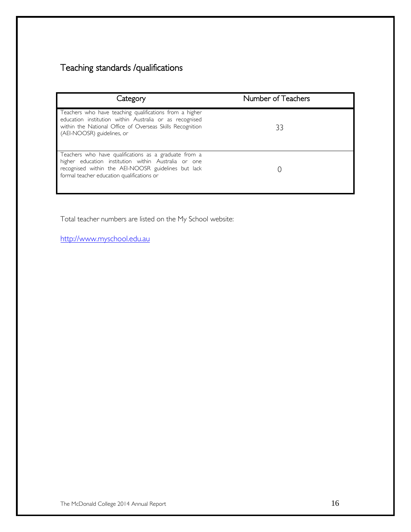### Teaching standards /qualifications

| Category                                                                                                                                                                                                           | Number of Teachers |
|--------------------------------------------------------------------------------------------------------------------------------------------------------------------------------------------------------------------|--------------------|
| Teachers who have teaching qualifications from a higher<br>education institution within Australia or as recognised<br>within the National Office of Overseas Skills Recognition<br>(AEI-NOOSR) guidelines, or      | 33                 |
| Teachers who have qualifications as a graduate from a<br>higher education institution within Australia or one<br>recognised within the AEI-NOOSR guidelines but lack<br>formal teacher education qualifications or |                    |

Total teacher numbers are listed on the My School website:

[http://www.myschool.edu.au](http://www.myschool.edu.au/)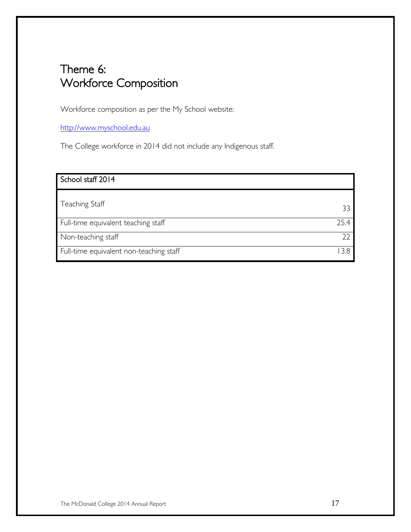# Theme 6: Workforce Composition

Workforce composition as per the My School website:

[http://www.myschool.edu.au](http://www.myschool.edu.au/)

The College workforce in 2014 did not include any Indigenous staff.

| School staff 2014                       |      |
|-----------------------------------------|------|
|                                         |      |
| Teaching Staff                          | 33   |
| Full-time equivalent teaching staff     | 25.4 |
| Non-teaching staff                      | つつ   |
| Full-time equivalent non-teaching staff | 3.8  |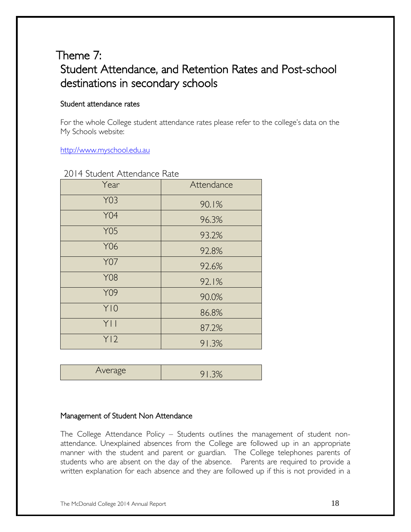# Theme 7: Student Attendance, and Retention Rates and Post-school destinations in secondary schools

#### Student attendance rates

For the whole College student attendance rates please refer to the college's data on the My Schools website:

[http://www.myschool.edu.au](http://www.myschool.edu.au/)

| Year       | Attendance |
|------------|------------|
| <b>Y03</b> | 90.1%      |
| <b>Y04</b> | 96.3%      |
| <b>Y05</b> | 93.2%      |
| Y06        | 92.8%      |
| <b>Y07</b> | 92.6%      |
| <b>Y08</b> | 92.1%      |
| Y09        | 90.0%      |
| Y10        | 86.8%      |
| YII        | 87.2%      |
| Y12        | 91.3%      |

2014 Student Attendance Rate

| ≏raσe<br>$\sim$ |  |
|-----------------|--|

#### Management of Student Non Attendance

The College Attendance Policy – Students outlines the management of student nonattendance. Unexplained absences from the College are followed up in an appropriate manner with the student and parent or guardian. The College telephones parents of students who are absent on the day of the absence. Parents are required to provide a written explanation for each absence and they are followed up if this is not provided in a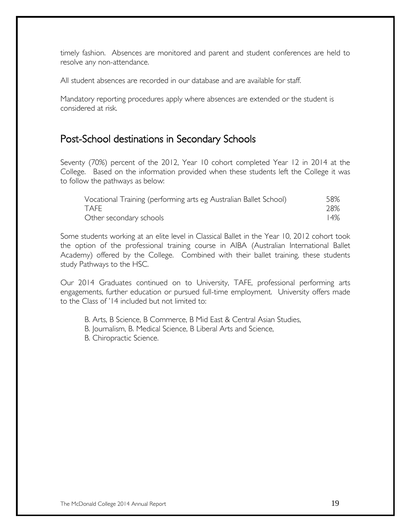timely fashion. Absences are monitored and parent and student conferences are held to resolve any non-attendance.

All student absences are recorded in our database and are available for staff.

Mandatory reporting procedures apply where absences are extended or the student is considered at risk.

### Post-School destinations in Secondary Schools

Seventy (70%) percent of the 2012, Year 10 cohort completed Year 12 in 2014 at the College. Based on the information provided when these students left the College it was to follow the pathways as below:

| Vocational Training (performing arts eg Australian Ballet School) | 58%    |
|-------------------------------------------------------------------|--------|
| <b>TAFE</b>                                                       | 28%    |
| Other secondary schools                                           | $14\%$ |

Some students working at an elite level in Classical Ballet in the Year 10, 2012 cohort took the option of the professional training course in AIBA (Australian International Ballet Academy) offered by the College. Combined with their ballet training, these students study Pathways to the HSC.

Our 2014 Graduates continued on to University, TAFE, professional performing arts engagements, further education or pursued full-time employment. University offers made to the Class of '14 included but not limited to:

B. Arts, B Science, B Commerce, B Mid East & Central Asian Studies,

B. Journalism, B. Medical Science, B Liberal Arts and Science,

B. Chiropractic Science.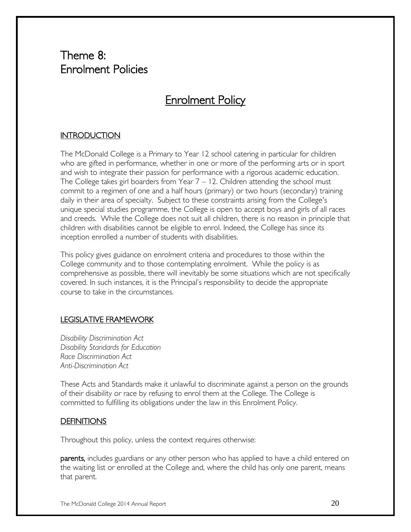# Theme 8: Enrolment Policies

### Enrolment Policy

#### **INTRODUCTION**

The McDonald College is a Primary to Year 12 school catering in particular for children who are gifted in performance, whether in one or more of the performing arts or in sport and wish to integrate their passion for performance with a rigorous academic education. The College takes girl boarders from Year  $7 - 12$ . Children attending the school must commit to a regimen of one and a half hours (primary) or two hours (secondary) training daily in their area of specialty. Subject to these constraints arising from the College's unique special studies programme, the College is open to accept boys and girls of all races and creeds. While the College does not suit all children, there is no reason in principle that children with disabilities cannot be eligible to enrol. Indeed, the College has since its inception enrolled a number of students with disabilities.

This policy gives guidance on enrolment criteria and procedures to those within the College community and to those contemplating enrolment. While the policy is as comprehensive as possible, there will inevitably be some situations which are not specifically covered. In such instances, it is the Principal's responsibility to decide the appropriate course to take in the circumstances.

#### LEGISLATIVE FRAMEWORK

*Disability Discrimination Act Disability Standards for Education Race Discrimination Act Anti-Discrimination Act*

These Acts and Standards make it unlawful to discriminate against a person on the grounds of their disability or race by refusing to enrol them at the College. The College is committed to fulfilling its obligations under the law in this Enrolment Policy.

#### **DEFINITIONS**

Throughout this policy, unless the context requires otherwise:

parents, includes guardians or any other person who has applied to have a child entered on the waiting list or enrolled at the College and, where the child has only one parent, means that parent.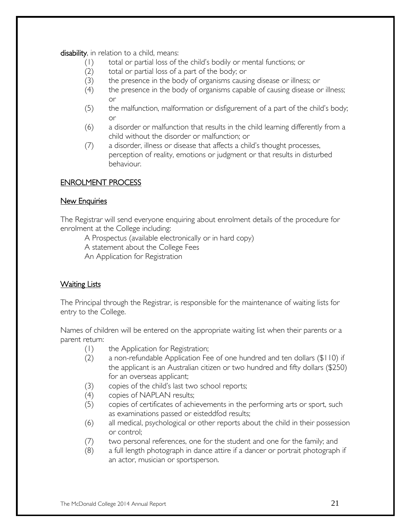disability, in relation to a child, means:

- (1) total or partial loss of the child's bodily or mental functions; or
- (2) total or partial loss of a part of the body; or
- (3) the presence in the body of organisms causing disease or illness; or
- (4) the presence in the body of organisms capable of causing disease or illness; or
- (5) the malfunction, malformation or disfigurement of a part of the child's body; or
- (6) a disorder or malfunction that results in the child learning differently from a child without the disorder or malfunction; or
- (7) a disorder, illness or disease that affects a child's thought processes, perception of reality, emotions or judgment or that results in disturbed behaviour.

#### ENROLMENT PROCESS

#### New Enquiries

The Registrar will send everyone enquiring about enrolment details of the procedure for enrolment at the College including:

A Prospectus (available electronically or in hard copy)

A statement about the College Fees

An Application for Registration

#### Waiting Lists

The Principal through the Registrar, is responsible for the maintenance of waiting lists for entry to the College.

Names of children will be entered on the appropriate waiting list when their parents or a parent return:

- (1) the Application for Registration;
- (2) a non-refundable Application Fee of one hundred and ten dollars (\$110) if the applicant is an Australian citizen or two hundred and fifty dollars (\$250) for an overseas applicant;
- (3) copies of the child's last two school reports;
- (4) copies of NAPLAN results;
- (5) copies of certificates of achievements in the performing arts or sport, such as examinations passed or eisteddfod results;
- (6) all medical, psychological or other reports about the child in their possession or control;
- (7) two personal references, one for the student and one for the family; and
- (8) a full length photograph in dance attire if a dancer or portrait photograph if an actor, musician or sportsperson.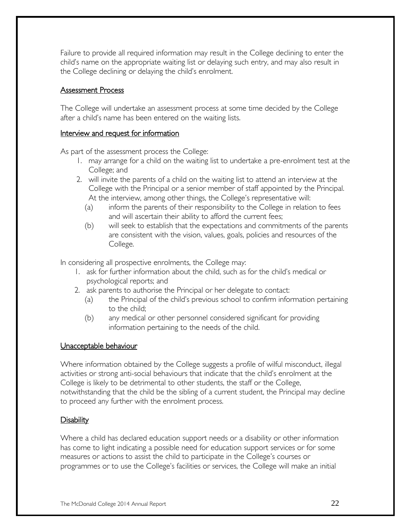Failure to provide all required information may result in the College declining to enter the child's name on the appropriate waiting list or delaying such entry, and may also result in the College declining or delaying the child's enrolment.

#### Assessment Process

The College will undertake an assessment process at some time decided by the College after a child's name has been entered on the waiting lists.

#### Interview and request for information

As part of the assessment process the College:

- 1. may arrange for a child on the waiting list to undertake a pre-enrolment test at the College; and
- 2. will invite the parents of a child on the waiting list to attend an interview at the College with the Principal or a senior member of staff appointed by the Principal. At the interview, among other things, the College's representative will:
	- (a) inform the parents of their responsibility to the College in relation to fees and will ascertain their ability to afford the current fees;
	- (b) will seek to establish that the expectations and commitments of the parents are consistent with the vision, values, goals, policies and resources of the College.

In considering all prospective enrolments, the College may:

- 1. ask for further information about the child, such as for the child's medical or psychological reports; and
- 2. ask parents to authorise the Principal or her delegate to contact:
	- (a) the Principal of the child's previous school to confirm information pertaining to the child;
	- (b) any medical or other personnel considered significant for providing information pertaining to the needs of the child.

#### Unacceptable behaviour

Where information obtained by the College suggests a profile of wilful misconduct, illegal activities or strong anti-social behaviours that indicate that the child's enrolment at the College is likely to be detrimental to other students, the staff or the College, notwithstanding that the child be the sibling of a current student, the Principal may decline to proceed any further with the enrolment process.

#### Disability

Where a child has declared education support needs or a disability or other information has come to light indicating a possible need for education support services or for some measures or actions to assist the child to participate in the College's courses or programmes or to use the College's facilities or services, the College will make an initial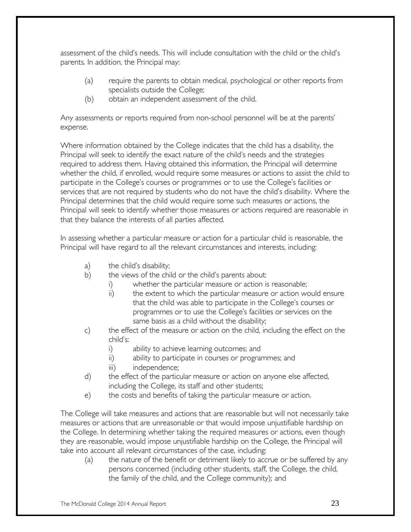assessment of the child's needs. This will include consultation with the child or the child's parents. In addition, the Principal may:

- (a) require the parents to obtain medical, psychological or other reports from specialists outside the College;
- (b) obtain an independent assessment of the child.

Any assessments or reports required from non-school personnel will be at the parents' expense.

Where information obtained by the College indicates that the child has a disability, the Principal will seek to identify the exact nature of the child's needs and the strategies required to address them. Having obtained this information, the Principal will determine whether the child, if enrolled, would require some measures or actions to assist the child to participate in the College's courses or programmes or to use the College's facilities or services that are not required by students who do not have the child's disability. Where the Principal determines that the child would require some such measures or actions, the Principal will seek to identify whether those measures or actions required are reasonable in that they balance the interests of all parties affected.

In assessing whether a particular measure or action for a particular child is reasonable, the Principal will have regard to all the relevant circumstances and interests, including:

- a) the child's disability;
- b) the views of the child or the child's parents about:
	- i) whether the particular measure or action is reasonable;
		- ii) the extent to which the particular measure or action would ensure that the child was able to participate in the College's courses or programmes or to use the College's facilities or services on the same basis as a child without the disability;
- c) the effect of the measure or action on the child, including the effect on the child's:
	- i) ability to achieve learning outcomes; and
	- ii) ability to participate in courses or programmes; and
	- iii) independence;
- d) the effect of the particular measure or action on anyone else affected, including the College, its staff and other students;
- e) the costs and benefits of taking the particular measure or action.

The College will take measures and actions that are reasonable but will not necessarily take measures or actions that are unreasonable or that would impose unjustifiable hardship on the College. In determining whether taking the required measures or actions, even though they are reasonable, would impose unjustifiable hardship on the College, the Principal will take into account all relevant circumstances of the case, including:

(a) the nature of the benefit or detriment likely to accrue or be suffered by any persons concerned (including other students, staff, the College, the child, the family of the child, and the College community); and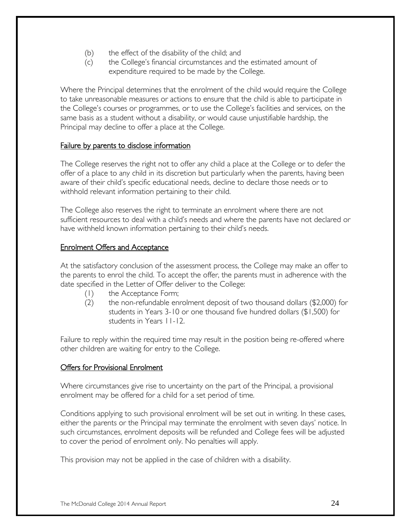- (b) the effect of the disability of the child; and
- (c) the College's financial circumstances and the estimated amount of expenditure required to be made by the College.

Where the Principal determines that the enrolment of the child would require the College to take unreasonable measures or actions to ensure that the child is able to participate in the College's courses or programmes, or to use the College's facilities and services, on the same basis as a student without a disability, or would cause unjustifiable hardship, the Principal may decline to offer a place at the College.

#### Failure by parents to disclose information

The College reserves the right not to offer any child a place at the College or to defer the offer of a place to any child in its discretion but particularly when the parents, having been aware of their child's specific educational needs, decline to declare those needs or to withhold relevant information pertaining to their child.

The College also reserves the right to terminate an enrolment where there are not sufficient resources to deal with a child's needs and where the parents have not declared or have withheld known information pertaining to their child's needs.

#### Enrolment Offers and Acceptance

At the satisfactory conclusion of the assessment process, the College may make an offer to the parents to enrol the child. To accept the offer, the parents must in adherence with the date specified in the Letter of Offer deliver to the College:

- (1) the Acceptance Form;
- (2) the non-refundable enrolment deposit of two thousand dollars (\$2,000) for students in Years 3-10 or one thousand five hundred dollars (\$1,500) for students in Years 11-12.

Failure to reply within the required time may result in the position being re-offered where other children are waiting for entry to the College.

#### Offers for Provisional Enrolment

Where circumstances give rise to uncertainty on the part of the Principal, a provisional enrolment may be offered for a child for a set period of time.

Conditions applying to such provisional enrolment will be set out in writing. In these cases, either the parents or the Principal may terminate the enrolment with seven days' notice. In such circumstances, enrolment deposits will be refunded and College fees will be adjusted to cover the period of enrolment only. No penalties will apply.

This provision may not be applied in the case of children with a disability.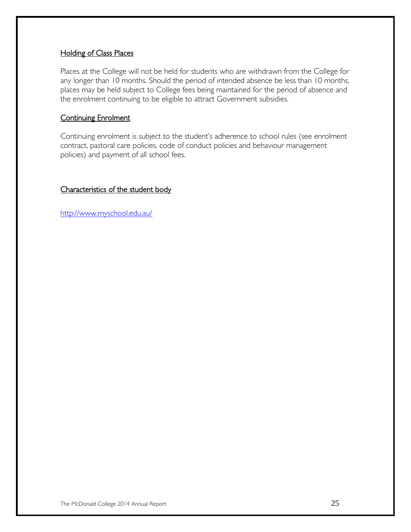#### Holding of Class Places

Places at the College will not be held for students who are withdrawn from the College for any longer than 10 months. Should the period of intended absence be less than 10 months, places may be held subject to College fees being maintained for the period of absence and the enrolment continuing to be eligible to attract Government subsidies.

#### Continuing Enrolment

Continuing enrolment is subject to the student's adherence to school rules (see enrolment contract, pastoral care policies, code of conduct policies and behaviour management policies) and payment of all school fees.

Characteristics of the student body

<http://www.myschool.edu.au/>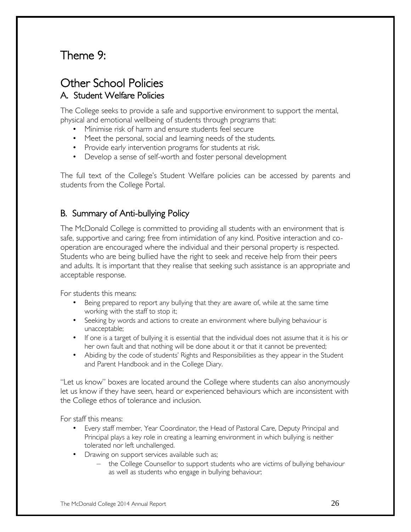# Theme 9:

### Other School Policies A. Student Welfare Policies

The College seeks to provide a safe and supportive environment to support the mental, physical and emotional wellbeing of students through programs that:

- Minimise risk of harm and ensure students feel secure
- Meet the personal, social and learning needs of the students.
- Provide early intervention programs for students at risk.
- Develop a sense of self-worth and foster personal development

The full text of the College's Student Welfare policies can be accessed by parents and students from the College Portal.

### B. Summary of Anti-bullying Policy

The McDonald College is committed to providing all students with an environment that is safe, supportive and caring; free from intimidation of any kind. Positive interaction and cooperation are encouraged where the individual and their personal property is respected. Students who are being bullied have the right to seek and receive help from their peers and adults. It is important that they realise that seeking such assistance is an appropriate and acceptable response.

For students this means:

- Being prepared to report any bullying that they are aware of, while at the same time working with the staff to stop it;
- Seeking by words and actions to create an environment where bullying behaviour is unacceptable;
- If one is a target of bullying it is essential that the individual does not assume that it is his or her own fault and that nothing will be done about it or that it cannot be prevented;
- Abiding by the code of students' Rights and Responsibilities as they appear in the Student and Parent Handbook and in the College Diary.

"Let us know" boxes are located around the College where students can also anonymously let us know if they have seen, heard or experienced behaviours which are inconsistent with the College ethos of tolerance and inclusion.

For staff this means:

- Every staff member, Year Coordinator, the Head of Pastoral Care, Deputy Principal and Principal plays a key role in creating a learning environment in which bullying is neither tolerated nor left unchallenged.
- Drawing on support services available such as;
	- the College Counsellor to support students who are victims of bullying behaviour as well as students who engage in bullying behaviour;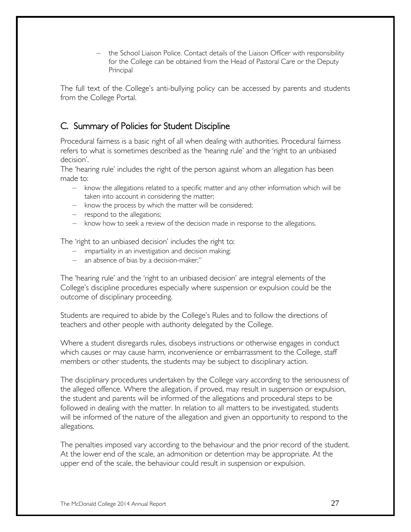– the School Liaison Police. Contact details of the Liaison Officer with responsibility for the College can be obtained from the Head of Pastoral Care or the Deputy Principal

The full text of the College's anti-bullying policy can be accessed by parents and students from the College Portal.

### C. Summary of Policies for Student Discipline

Procedural fairness is a basic right of all when dealing with authorities. Procedural fairness refers to what is sometimes described as the 'hearing rule' and the 'right to an unbiased decision'.

The 'hearing rule' includes the right of the person against whom an allegation has been made to:

- know the allegations related to a specific matter and any other information which will be taken into account in considering the matter;
- know the process by which the matter will be considered;
- respond to the allegations;
- know how to seek a review of the decision made in response to the allegations.

The 'right to an unbiased decision' includes the right to:

- impartiality in an investigation and decision making;
- an absence of bias by a decision-maker,"

The 'hearing rule' and the 'right to an unbiased decision' are integral elements of the College's discipline procedures especially where suspension or expulsion could be the outcome of disciplinary proceeding.

Students are required to abide by the College's Rules and to follow the directions of teachers and other people with authority delegated by the College.

Where a student disregards rules, disobeys instructions or otherwise engages in conduct which causes or may cause harm, inconvenience or embarrassment to the College, staff members or other students, the students may be subject to disciplinary action.

The disciplinary procedures undertaken by the College vary according to the seriousness of the alleged offence. Where the allegation, if proved, may result in suspension or expulsion, the student and parents will be informed of the allegations and procedural steps to be followed in dealing with the matter. In relation to all matters to be investigated, students will be informed of the nature of the allegation and given an opportunity to respond to the allegations.

The penalties imposed vary according to the behaviour and the prior record of the student. At the lower end of the scale, an admonition or detention may be appropriate. At the upper end of the scale, the behaviour could result in suspension or expulsion.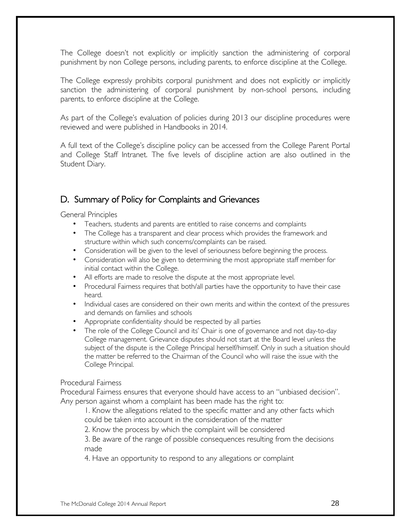The College doesn't not explicitly or implicitly sanction the administering of corporal punishment by non College persons, including parents, to enforce discipline at the College.

The College expressly prohibits corporal punishment and does not explicitly or implicitly sanction the administering of corporal punishment by non-school persons, including parents, to enforce discipline at the College.

As part of the College's evaluation of policies during 2013 our discipline procedures were reviewed and were published in Handbooks in 2014.

A full text of the College's discipline policy can be accessed from the College Parent Portal and College Staff Intranet. The five levels of discipline action are also outlined in the Student Diary.

### D. Summary of Policy for Complaints and Grievances

General Principles

- Teachers, students and parents are entitled to raise concerns and complaints
- The College has a transparent and clear process which provides the framework and structure within which such concerns/complaints can be raised.
- Consideration will be given to the level of seriousness before beginning the process.
- Consideration will also be given to determining the most appropriate staff member for initial contact within the College.
- All efforts are made to resolve the dispute at the most appropriate level.
- Procedural Fairness requires that both/all parties have the opportunity to have their case heard.
- Individual cases are considered on their own merits and within the context of the pressures and demands on families and schools
- Appropriate confidentiality should be respected by all parties
- The role of the College Council and its' Chair is one of governance and not day-to-day College management. Grievance disputes should not start at the Board level unless the subject of the dispute is the College Principal herself/himself. Only in such a situation should the matter be referred to the Chairman of the Council who will raise the issue with the College Principal.

#### Procedural Fairness

Procedural Fairness ensures that everyone should have access to an "unbiased decision". Any person against whom a complaint has been made has the right to:

1. Know the allegations related to the specific matter and any other facts which could be taken into account in the consideration of the matter

2. Know the process by which the complaint will be considered

3. Be aware of the range of possible consequences resulting from the decisions made

4. Have an opportunity to respond to any allegations or complaint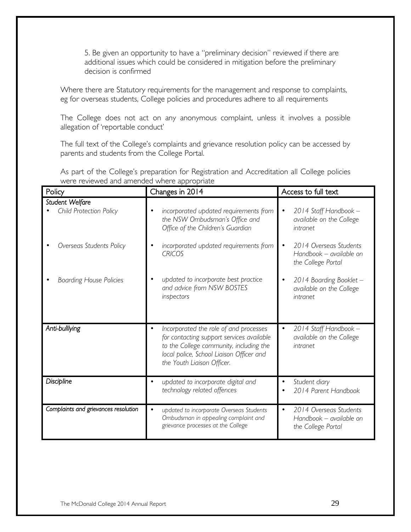5. Be given an opportunity to have a "preliminary decision" reviewed if there are additional issues which could be considered in mitigation before the preliminary decision is confirmed

Where there are Statutory requirements for the management and response to complaints, eg for overseas students, College policies and procedures adhere to all requirements

The College does not act on any anonymous complaint, unless it involves a possible allegation of 'reportable conduct'

The full text of the College's complaints and grievance resolution policy can be accessed by parents and students from the College Portal.

| Policy                                     | Changes in 2014                                                                                                                                                                                          | Access to full text                                                                  |
|--------------------------------------------|----------------------------------------------------------------------------------------------------------------------------------------------------------------------------------------------------------|--------------------------------------------------------------------------------------|
| Student Welfare<br>Child Protection Policy | incorporated updated requirements from<br>the NSW Ombudsman's Office and<br>Office of the Children's Guardian                                                                                            | 2014 Staff Handbook -<br>$\bullet$<br>available on the College<br>intranet           |
| Overseas Students Policy                   | incorporated updated requirements from<br><b>CRICOS</b>                                                                                                                                                  | 2014 Overseas Students<br>$\bullet$<br>Handbook - available on<br>the College Portal |
| <b>Boarding House Policies</b>             | updated to incorporate best practice<br>and advice from NSW BOSTES<br>inspectors                                                                                                                         | 2014 Boarding Booklet -<br>$\bullet$<br>available on the College<br>intranet         |
| Anti-bulllying                             | Incorporated the role of and processes<br>for contacting support services available<br>to the College community, including the<br>local police, School Liaison Officer and<br>the Youth Liaison Officer. | 2014 Staff Handbook -<br>$\bullet$<br>available on the College<br>intranet           |
| <b>Discipline</b>                          | updated to incorporate digital and<br>$\bullet$<br>technology related offences                                                                                                                           | Student diary<br>$\bullet$<br>2014 Parent Handbook                                   |
| Complaints and grievances resolution       | updated to incorporate Overseas Students<br>Ombudsman in appealing complaint and<br>grievance processes at the College                                                                                   | 2014 Overseas Students<br>$\bullet$<br>Handbook - available on<br>the College Portal |

As part of the College's preparation for Registration and Accreditation all College policies were reviewed and amended where appropriate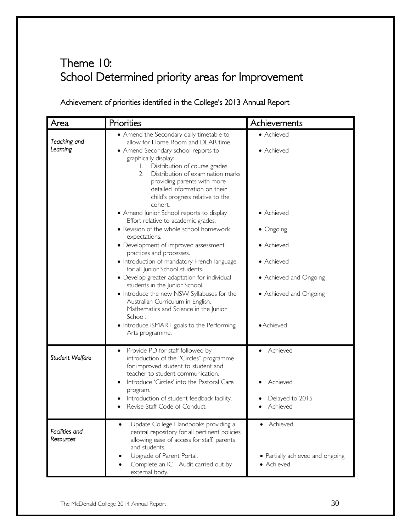# Theme 10: School Determined priority areas for Improvement

### Achievement of priorities identified in the College's 2013 Annual Report

| Area                        | Priorities                                                                                                                                                                                                                                                                                                                                                                                                                                                                                                                                                                                 | Achievements                                                                                                          |
|-----------------------------|--------------------------------------------------------------------------------------------------------------------------------------------------------------------------------------------------------------------------------------------------------------------------------------------------------------------------------------------------------------------------------------------------------------------------------------------------------------------------------------------------------------------------------------------------------------------------------------------|-----------------------------------------------------------------------------------------------------------------------|
| Teaching and<br>Learning    | • Amend the Secondary daily timetable to<br>allow for Home Room and DEAR time.<br>• Amend Secondary school reports to<br>graphically display:<br>1. Distribution of course grades<br>Distribution of examination marks<br>2.<br>providing parents with more<br>detailed information on their<br>child's progress relative to the<br>cohort.                                                                                                                                                                                                                                                | • Achieved<br>• Achieved                                                                                              |
|                             | • Amend Junior School reports to display<br>Effort relative to academic grades.<br>• Revision of the whole school homework<br>expectations.<br>• Development of improved assessment<br>practices and processes.<br>• Introduction of mandatory French language<br>for all Junior School students.<br>• Develop greater adaptation for individual<br>students in the Junior School.<br>• Introduce the new NSW Syllabuses for the<br>Australian Curriculum in English,<br>Mathematics and Science in the Junior<br>School.<br>• Introduce iSMART goals to the Performing<br>Arts programme. | • Achieved<br>• Ongoing<br>• Achieved<br>• Achieved<br>• Achieved and Ongoing<br>• Achieved and Ongoing<br>• Achieved |
| Student Welfare             | Provide PD for staff followed by<br>$\bullet$<br>introduction of the "Circles" programme<br>for improved student to student and<br>teacher to student communication.<br>Introduce 'Circles' into the Pastoral Care<br>program.<br>Introduction of student feedback facility.<br>Revise Staff Code of Conduct.                                                                                                                                                                                                                                                                              | Achieved<br>Achieved<br>Delayed to 2015<br>Achieved                                                                   |
| Facilities and<br>Resources | Update College Handbooks providing a<br>central repository for all pertinent policies<br>allowing ease of access for staff, parents<br>and students.<br>Upgrade of Parent Portal.<br>Complete an ICT Audit carried out by<br>external body.                                                                                                                                                                                                                                                                                                                                                | • Achieved<br>• Partially achieved and ongoing<br>• Achieved                                                          |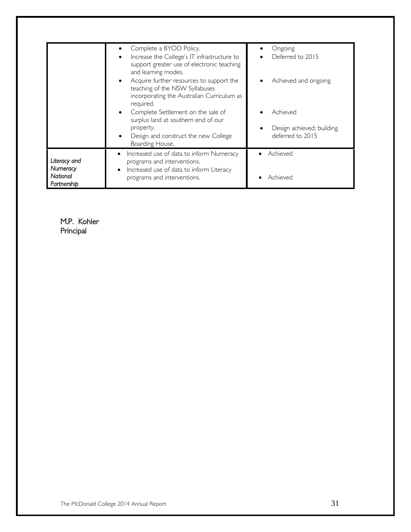|                                                     | Complete a BYOD Policy.<br>Increase the College's IT infrastructure to<br>support greater use of electronic teaching<br>and learning modes.<br>Acquire further resources to support the<br>teaching of the NSW Syllabuses | Ongoing<br>Deferred to 2015<br>Achieved and ongoing       |
|-----------------------------------------------------|---------------------------------------------------------------------------------------------------------------------------------------------------------------------------------------------------------------------------|-----------------------------------------------------------|
|                                                     | incorporating the Australian Curriculum as<br>required.<br>Complete Settlement on the sale of<br>surplus land at southern end of our<br>property.<br>Design and construct the new College<br>Boarding House.              | Achieved<br>Design achieved; building<br>deferred to 2015 |
| Literacy and<br>Numeracy<br>National<br>Partnership | Increased use of data to inform Numeracy<br>programs and interventions.<br>Increased use of data to inform Literacy<br>$\bullet$<br>programs and interventions.                                                           | Achieved<br>Achieved                                      |

M.P. Kohler Principal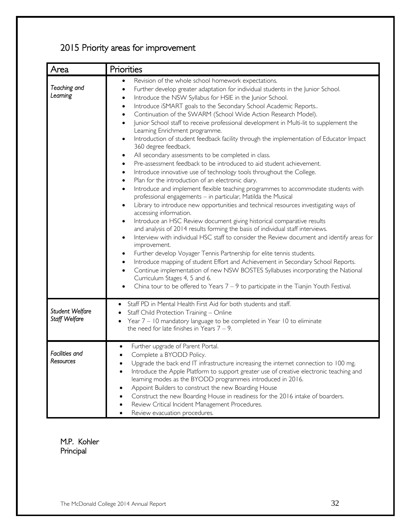# 2015 Priority areas for improvement

| Area                             | Priorities                                                                                                                                                                                                                                                                                                                                                                                                                                                                                                                                                                                                                                                                                                                                                                                                                                                                                                                                                                                                                                                                                                                                                                                                                                                                                                                                                                                                                                                                                                                                                                                                                                                                                                                                                                                                                                                                                                                                                              |
|----------------------------------|-------------------------------------------------------------------------------------------------------------------------------------------------------------------------------------------------------------------------------------------------------------------------------------------------------------------------------------------------------------------------------------------------------------------------------------------------------------------------------------------------------------------------------------------------------------------------------------------------------------------------------------------------------------------------------------------------------------------------------------------------------------------------------------------------------------------------------------------------------------------------------------------------------------------------------------------------------------------------------------------------------------------------------------------------------------------------------------------------------------------------------------------------------------------------------------------------------------------------------------------------------------------------------------------------------------------------------------------------------------------------------------------------------------------------------------------------------------------------------------------------------------------------------------------------------------------------------------------------------------------------------------------------------------------------------------------------------------------------------------------------------------------------------------------------------------------------------------------------------------------------------------------------------------------------------------------------------------------------|
| Teaching and<br>Leaming          | Revision of the whole school homework expectations.<br>$\bullet$<br>Further develop greater adaptation for individual students in the Junior School.<br>$\bullet$<br>Introduce the NSW Syllabus for HSIE in the Junior School.<br>$\bullet$<br>Introduce iSMART goals to the Secondary School Academic Reports<br>٠<br>Continuation of the SWARM (School Wide Action Research Model).<br>٠<br>Junior School staff to receive professional development in Multi-lit to supplement the<br>$\bullet$<br>Learning Enrichment programme.<br>Introduction of student feedback facility through the implementation of Educator Impact<br>$\bullet$<br>360 degree feedback.<br>All secondary assessments to be completed in class.<br>٠<br>Pre-assessment feedback to be introduced to aid student achievement.<br>٠<br>Introduce innovative use of technology tools throughout the College.<br>٠<br>Plan for the introduction of an electronic diary.<br>$\bullet$<br>Introduce and implement flexible teaching programmes to accommodate students with<br>$\bullet$<br>professional engagements - in particular, Matilda the Musical<br>Library to introduce new opportunities and technical resources investigating ways of<br>$\bullet$<br>accessing information.<br>Introduce an HSC Review document giving historical comparative results<br>$\bullet$<br>and analysis of 2014 results forming the basis of individual staff interviews.<br>Interview with individual HSC staff to consider the Review document and identify areas for<br>$\bullet$<br>improvement.<br>Further develop Voyager Tennis Partnership for elite tennis students.<br>$\bullet$<br>Introduce mapping of student Effort and Achievement in Secondary School Reports.<br>$\bullet$<br>Continue implementation of new NSW BOSTES Syllabuses incorporating the National<br>Curriculum Stages 4, 5 and 6.<br>China tour to be offered to Years $7 - 9$ to participate in the Tianjin Youth Festival. |
| Student Welfare<br>Staff Welfare | Staff PD in Mental Health First Aid for both students and staff.<br>٠<br>Staff Child Protection Training - Online<br>٠<br>Year 7 - 10 mandatory language to be completed in Year 10 to eliminate<br>the need for late finishes in Years $7 - 9$ .                                                                                                                                                                                                                                                                                                                                                                                                                                                                                                                                                                                                                                                                                                                                                                                                                                                                                                                                                                                                                                                                                                                                                                                                                                                                                                                                                                                                                                                                                                                                                                                                                                                                                                                       |
| Facilities and<br>Resources      | Further upgrade of Parent Portal.<br>Complete a BYODD Policy.<br>Upgrade the back end IT infrastructure increasing the internet connection to 100 mg.<br>Introduce the Apple Platform to support greater use of creative electronic teaching and<br>learning modes as the BYODD programmeis introduced in 2016.<br>Appoint Builders to construct the new Boarding House<br>Construct the new Boarding House in readiness for the 2016 intake of boarders.<br>Review Critical Incident Management Procedures.<br>Review evacuation procedures.                                                                                                                                                                                                                                                                                                                                                                                                                                                                                                                                                                                                                                                                                                                                                                                                                                                                                                                                                                                                                                                                                                                                                                                                                                                                                                                                                                                                                           |

#### M.P. Kohler Principal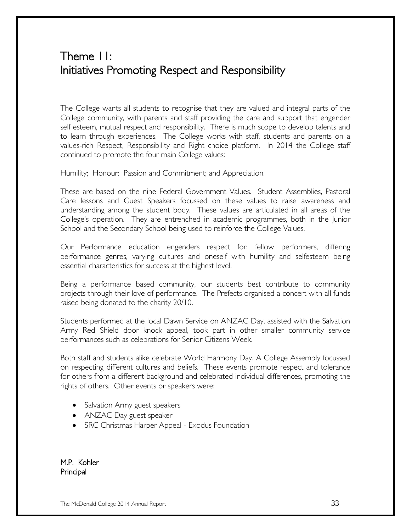# Theme 11: Initiatives Promoting Respect and Responsibility

The College wants all students to recognise that they are valued and integral parts of the College community, with parents and staff providing the care and support that engender self esteem, mutual respect and responsibility. There is much scope to develop talents and to learn through experiences. The College works with staff, students and parents on a values-rich Respect, Responsibility and Right choice platform. In 2014 the College staff continued to promote the four main College values:

Humility; Honour; Passion and Commitment; and Appreciation.

These are based on the nine Federal Government Values. Student Assemblies, Pastoral Care lessons and Guest Speakers focussed on these values to raise awareness and understanding among the student body. These values are articulated in all areas of the College's operation. They are entrenched in academic programmes, both in the Junior School and the Secondary School being used to reinforce the College Values.

Our Performance education engenders respect for: fellow performers, differing performance genres, varying cultures and oneself with humility and selfesteem being essential characteristics for success at the highest level.

Being a performance based community, our students best contribute to community projects through their love of performance. The Prefects organised a concert with all funds raised being donated to the charity 20/10.

Students performed at the local Dawn Service on ANZAC Day, assisted with the Salvation Army Red Shield door knock appeal, took part in other smaller community service performances such as celebrations for Senior Citizens Week.

Both staff and students alike celebrate World Harmony Day. A College Assembly focussed on respecting different cultures and beliefs. These events promote respect and tolerance for others from a different background and celebrated individual differences, promoting the rights of others. Other events or speakers were:

- Salvation Army guest speakers
- ANZAC Day guest speaker
- SRC Christmas Harper Appeal Exodus Foundation

M.P. Kohler Principal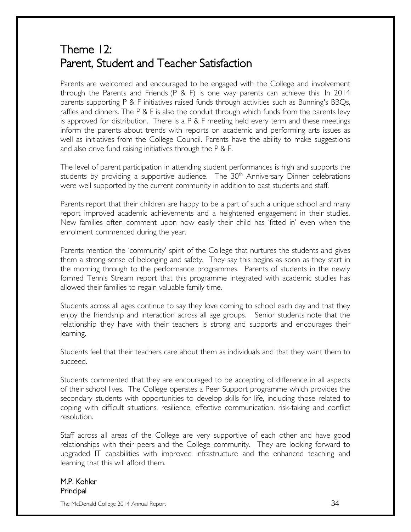# Theme 12: Parent, Student and Teacher Satisfaction

Parents are welcomed and encouraged to be engaged with the College and involvement through the Parents and Friends (P & F) is one way parents can achieve this. In 2014 parents supporting P & F initiatives raised funds through activities such as Bunning's BBQs, raffles and dinners. The P & F is also the conduit through which funds from the parents levy is approved for distribution. There is a P & F meeting held every term and these meetings inform the parents about trends with reports on academic and performing arts issues as well as initiatives from the College Council. Parents have the ability to make suggestions and also drive fund raising initiatives through the P & F.

The level of parent participation in attending student performances is high and supports the students by providing a supportive audience. The  $30<sup>th</sup>$  Anniversary Dinner celebrations were well supported by the current community in addition to past students and staff.

Parents report that their children are happy to be a part of such a unique school and many report improved academic achievements and a heightened engagement in their studies. New families often comment upon how easily their child has 'fitted in' even when the enrolment commenced during the year.

Parents mention the 'community' spirit of the College that nurtures the students and gives them a strong sense of belonging and safety. They say this begins as soon as they start in the morning through to the performance programmes. Parents of students in the newly formed Tennis Stream report that this programme integrated with academic studies has allowed their families to regain valuable family time.

Students across all ages continue to say they love coming to school each day and that they enjoy the friendship and interaction across all age groups. Senior students note that the relationship they have with their teachers is strong and supports and encourages their learning.

Students feel that their teachers care about them as individuals and that they want them to succeed.

Students commented that they are encouraged to be accepting of difference in all aspects of their school lives. The College operates a Peer Support programme which provides the secondary students with opportunities to develop skills for life, including those related to coping with difficult situations, resilience, effective communication, risk-taking and conflict resolution.

Staff across all areas of the College are very supportive of each other and have good relationships with their peers and the College community. They are looking forward to upgraded IT capabilities with improved infrastructure and the enhanced teaching and learning that this will afford them.

#### M.P. Kohler Principal

The McDonald College 2014 Annual Report 34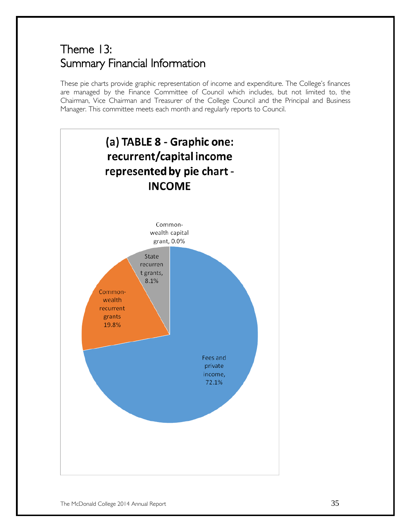# Theme 13: Summary Financial Information

These pie charts provide graphic representation of income and expenditure. The College's finances are managed by the Finance Committee of Council which includes, but not limited to, the Chairman, Vice Chairman and Treasurer of the College Council and the Principal and Business Manager. This committee meets each month and regularly reports to Council.

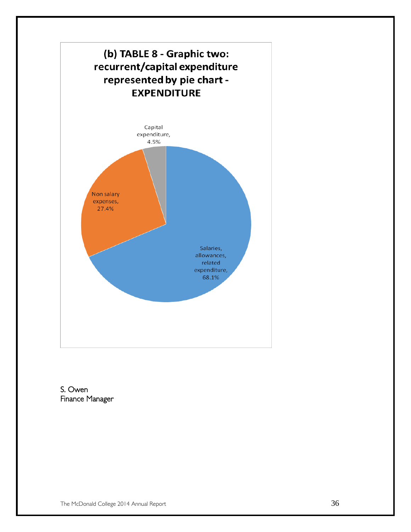

S. Owen Finance Manager